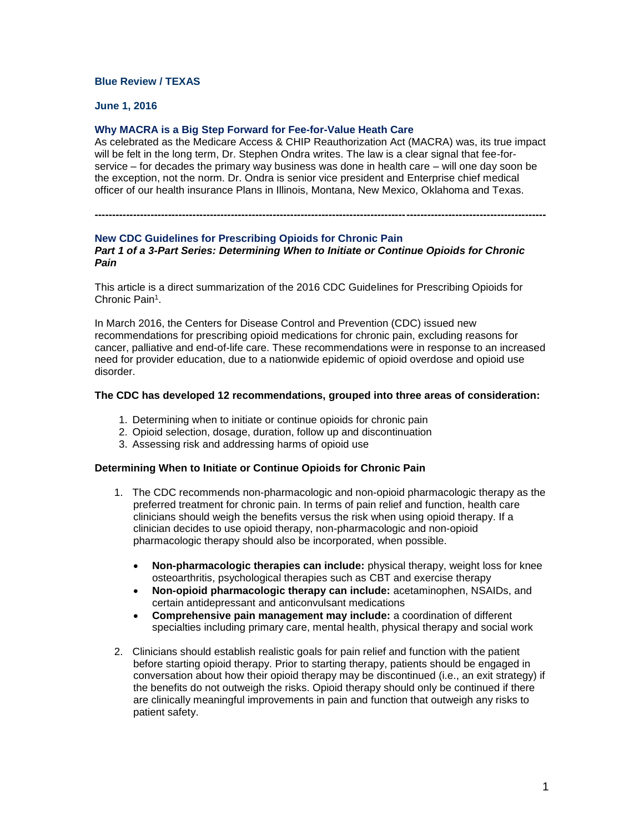## **Blue Review / TEXAS**

### **June 1, 2016**

# **Why MACRA is a Big Step Forward for Fee-for-Value Heath Care**

As celebrated as the Medicare Access & CHIP Reauthorization Act (MACRA) was, its true impact will be felt in the long term, Dr. Stephen Ondra writes. The law is a clear signal that fee-forservice – for decades the primary way business was done in health care – will one day soon be the exception, not the norm. Dr. Ondra is senior vice president and Enterprise chief medical officer of our health insurance Plans in Illinois, Montana, New Mexico, Oklahoma and Texas.

**---------------------------------------------------------------------------------------------------------------------------------**

# **New CDC Guidelines for Prescribing Opioids for Chronic Pain**

#### *Part 1 of a 3-Part Series: Determining When to Initiate or Continue Opioids for Chronic Pain*

This article is a direct summarization of the 2016 CDC Guidelines for Prescribing Opioids for Chronic Pain<sup>1</sup>.

In March 2016, the Centers for Disease Control and Prevention (CDC) issued new recommendations for prescribing opioid medications for chronic pain, excluding reasons for cancer, palliative and end-of-life care. These recommendations were in response to an increased need for provider education, due to a nationwide epidemic of opioid overdose and opioid use disorder.

#### **The CDC has developed 12 recommendations, grouped into three areas of consideration:**

- 1. Determining when to initiate or continue opioids for chronic pain
- 2. Opioid selection, dosage, duration, follow up and discontinuation
- 3. Assessing risk and addressing harms of opioid use

### **Determining When to Initiate or Continue Opioids for Chronic Pain**

- 1. The CDC recommends non-pharmacologic and non-opioid pharmacologic therapy as the preferred treatment for chronic pain. In terms of pain relief and function, health care clinicians should weigh the benefits versus the risk when using opioid therapy. If a clinician decides to use opioid therapy, non-pharmacologic and non-opioid pharmacologic therapy should also be incorporated, when possible.
	- **Non-pharmacologic therapies can include:** physical therapy, weight loss for knee osteoarthritis, psychological therapies such as CBT and exercise therapy
	- **Non-opioid pharmacologic therapy can include:** acetaminophen, NSAIDs, and certain antidepressant and anticonvulsant medications
	- **Comprehensive pain management may include:** a coordination of different specialties including primary care, mental health, physical therapy and social work
- 2. Clinicians should establish realistic goals for pain relief and function with the patient before starting opioid therapy. Prior to starting therapy, patients should be engaged in conversation about how their opioid therapy may be discontinued (i.e., an exit strategy) if the benefits do not outweigh the risks. Opioid therapy should only be continued if there are clinically meaningful improvements in pain and function that outweigh any risks to patient safety.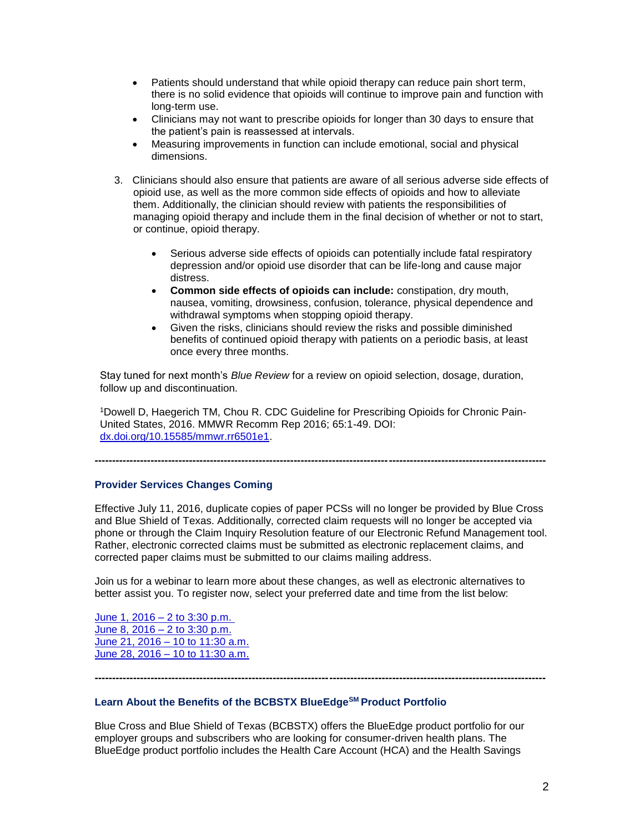- Patients should understand that while opioid therapy can reduce pain short term, there is no solid evidence that opioids will continue to improve pain and function with long-term use.
- Clinicians may not want to prescribe opioids for longer than 30 days to ensure that the patient's pain is reassessed at intervals.
- Measuring improvements in function can include emotional, social and physical dimensions.
- 3. Clinicians should also ensure that patients are aware of all serious adverse side effects of opioid use, as well as the more common side effects of opioids and how to alleviate them. Additionally, the clinician should review with patients the responsibilities of managing opioid therapy and include them in the final decision of whether or not to start, or continue, opioid therapy.
	- Serious adverse side effects of opioids can potentially include fatal respiratory depression and/or opioid use disorder that can be life-long and cause major distress.
	- **Common side effects of opioids can include:** constipation, dry mouth, nausea, vomiting, drowsiness, confusion, tolerance, physical dependence and withdrawal symptoms when stopping opioid therapy.
	- Given the risks, clinicians should review the risks and possible diminished benefits of continued opioid therapy with patients on a periodic basis, at least once every three months.

Stay tuned for next month's *Blue Review* for a review on opioid selection, dosage, duration, follow up and discontinuation.

1Dowell D, Haegerich TM, Chou R. CDC Guideline for Prescribing Opioids for Chronic Pain-United States, 2016. MMWR Recomm Rep 2016; 65:1-49. DOI: [dx.doi.org/10.15585/mmwr.rr6501e1.](http://dx.doi.org/10.15585/mmwr.rr6501e1)

**---------------------------------------------------------------------------------------------------------------------------------**

### **Provider Services Changes Coming**

Effective July 11, 2016, duplicate copies of paper PCSs will no longer be provided by Blue Cross and Blue Shield of Texas. Additionally, corrected claim requests will no longer be accepted via phone or through the Claim Inquiry Resolution feature of our Electronic Refund Management tool. Rather, electronic corrected claims must be submitted as electronic replacement claims, and corrected paper claims must be submitted to our claims mailing address.

Join us for a webinar to learn more about these changes, as well as electronic alternatives to better assist you. To register now, select your preferred date and time from the list below:

June 1, 2016 – [2 to 3:30 p.m.](https://hcsc.webex.com/hcsc/j.php?RGID=rfd9dfec7a0bea0c32cbf0da958a3d94b)  June 8, 2016 – [2 to 3:30 p.m.](https://hcsc.webex.com/hcsc/j.php?RGID=r5394a99de2eda72ad1b9021ee0a300de) June 21, 2016 – [10 to 11:30 a.m.](https://hcsc.webex.com/hcsc/j.php?RGID=r7467ae764bc256ab39208aa9900518b1) June 28, 2016 – [10 to 11:30 a.m.](https://hcsc.webex.com/hcsc/j.php?RGID=r2019b187a96e96d4641be24ffc9582a6)

**Learn About the Benefits of the BCBSTX BlueEdgeSM Product Portfolio**

Blue Cross and Blue Shield of Texas (BCBSTX) offers the BlueEdge product portfolio for our employer groups and subscribers who are looking for consumer-driven health plans. The BlueEdge product portfolio includes the Health Care Account (HCA) and the Health Savings

**---------------------------------------------------------------------------------------------------------------------------------**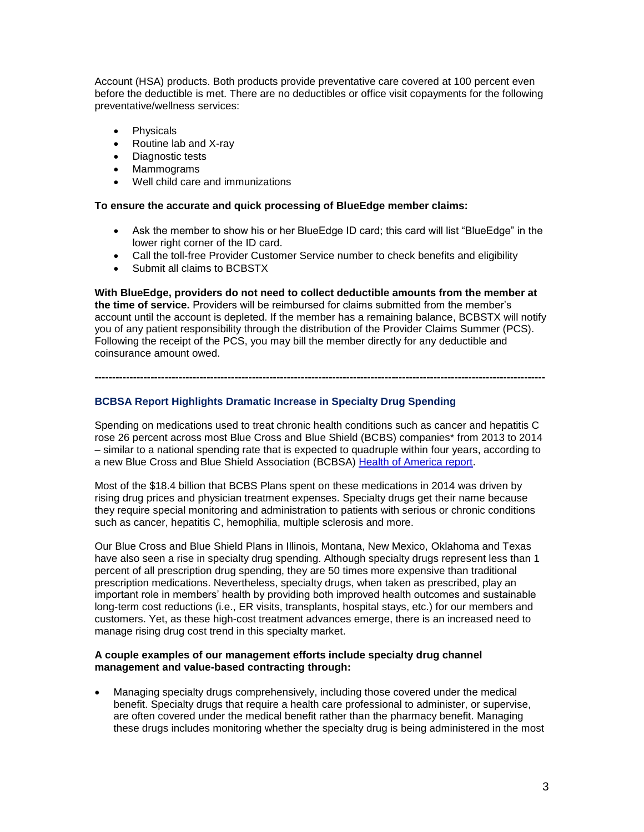Account (HSA) products. Both products provide preventative care covered at 100 percent even before the deductible is met. There are no deductibles or office visit copayments for the following preventative/wellness services:

- Physicals
- Routine lab and X-ray
- Diagnostic tests
- Mammograms
- Well child care and immunizations

### **To ensure the accurate and quick processing of BlueEdge member claims:**

- Ask the member to show his or her BlueEdge ID card; this card will list "BlueEdge" in the lower right corner of the ID card.
- Call the toll-free Provider Customer Service number to check benefits and eligibility
- Submit all claims to BCBSTX

**With BlueEdge, providers do not need to collect deductible amounts from the member at the time of service.** Providers will be reimbursed for claims submitted from the member's account until the account is depleted. If the member has a remaining balance, BCBSTX will notify you of any patient responsibility through the distribution of the Provider Claims Summer (PCS). Following the receipt of the PCS, you may bill the member directly for any deductible and coinsurance amount owed.

**---------------------------------------------------------------------------------------------------------------------------------**

# **BCBSA Report Highlights Dramatic Increase in Specialty Drug Spending**

Spending on medications used to treat chronic health conditions such as cancer and hepatitis C rose 26 percent across most Blue Cross and Blue Shield (BCBS) companies\* from 2013 to 2014 – similar to a national spending rate that is expected to quadruple within four years, according to a new Blue Cross and Blue Shield Association (BCBSA) [Health of America report.](http://www.bcbs.com/healthofamerica/)

Most of the \$18.4 billion that BCBS Plans spent on these medications in 2014 was driven by rising drug prices and physician treatment expenses. Specialty drugs get their name because they require special monitoring and administration to patients with serious or chronic conditions such as cancer, hepatitis C, hemophilia, multiple sclerosis and more.

Our Blue Cross and Blue Shield Plans in Illinois, Montana, New Mexico, Oklahoma and Texas have also seen a rise in specialty drug spending. Although specialty drugs represent less than 1 percent of all prescription drug spending, they are 50 times more expensive than traditional prescription medications. Nevertheless, specialty drugs, when taken as prescribed, play an important role in members' health by providing both improved health outcomes and sustainable long-term cost reductions (i.e., ER visits, transplants, hospital stays, etc.) for our members and customers. Yet, as these high-cost treatment advances emerge, there is an increased need to manage rising drug cost trend in this specialty market.

#### **A couple examples of our management efforts include specialty drug channel management and value-based contracting through:**

 Managing specialty drugs comprehensively, including those covered under the medical benefit. Specialty drugs that require a health care professional to administer, or supervise, are often covered under the medical benefit rather than the pharmacy benefit. Managing these drugs includes monitoring whether the specialty drug is being administered in the most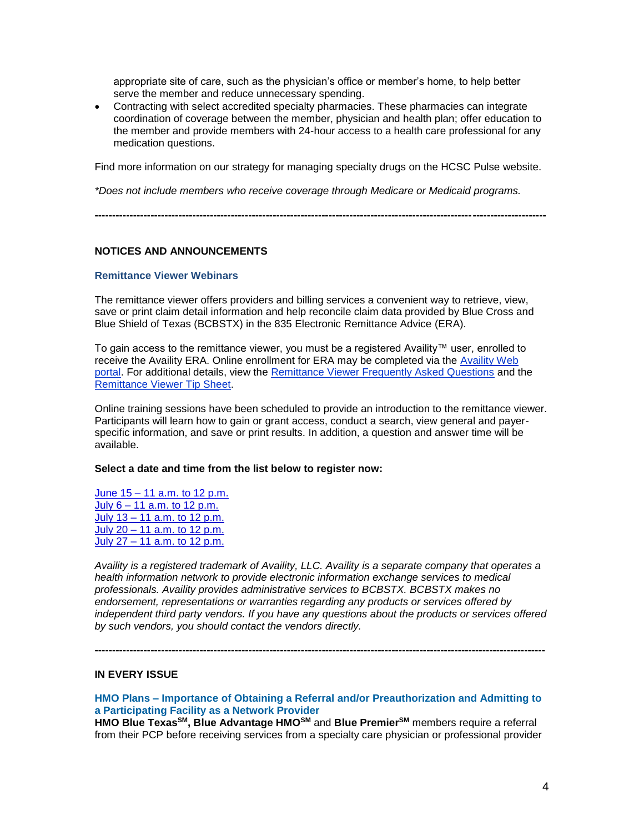appropriate site of care, such as the physician's office or member's home, to help better serve the member and reduce unnecessary spending.

 Contracting with select accredited specialty pharmacies. These pharmacies can integrate coordination of coverage between the member, physician and health plan; offer education to the member and provide members with 24-hour access to a health care professional for any medication questions.

Find more information on our strategy for managing specialty drugs on the HCSC Pulse website.

**---------------------------------------------------------------------------------------------------------------------------------**

*\*Does not include members who receive coverage through Medicare or Medicaid programs.*

### **NOTICES AND ANNOUNCEMENTS**

#### **Remittance Viewer Webinars**

The remittance viewer offers providers and billing services a convenient way to retrieve, view, save or print claim detail information and help reconcile claim data provided by Blue Cross and Blue Shield of Texas (BCBSTX) in the 835 Electronic Remittance Advice (ERA).

To gain access to the remittance viewer, you must be a registered Availity™ user, enrolled to receive the Availity ERA. Online enrollment for ERA may be completed via the [Availity Web](http://www.availity.com/)  [portal.](http://www.availity.com/) For additional details, view the [Remittance Viewer Frequently Asked Questions](http://www.bcbstx.com/provider/pdf/remittance_viewer_faqs.pdf) and the [Remittance Viewer Tip Sheet.](http://www.bcbstx.com/provider/pdf/remittance_viewer_tip_sheet.pdf)

Online training sessions have been scheduled to provide an introduction to the remittance viewer. Participants will learn how to gain or grant access, conduct a search, view general and payerspecific information, and save or print results. In addition, a question and answer time will be available.

#### **Select a date and time from the list below to register now:**

June 15 – [11 a.m. to 12 p.m.](https://hcsc.webex.com/hcsc/j.php?RGID=re76b88f7a4bf5cdba6a540fc49c4b1a8) July 6 – [11 a.m. to 12 p.m.](https://hcsc.webex.com/hcsc/j.php?RGID=re48a40b3e0e0e2ff9dd5148f194a43bd) July 13 – [11 a.m. to 12 p.m.](https://hcsc.webex.com/hcsc/j.php?RGID=r68f09b8275c4c9c1a8abc599d6313efc) July 20 – [11 a.m. to 12 p.m.](https://hcsc.webex.com/hcsc/j.php?RGID=r514e4a5859929948faa56a060ed7bd15) July 27 – [11 a.m. to 12 p.m.](https://hcsc.webex.com/hcsc/j.php?RGID=r6efd5f58dcc27755d75c626212bbc6be)

*Availity is a registered trademark of Availity, LLC. Availity is a separate company that operates a health information network to provide electronic information exchange services to medical professionals. Availity provides administrative services to BCBSTX. BCBSTX makes no endorsement, representations or warranties regarding any products or services offered by independent third party vendors. If you have any questions about the products or services offered by such vendors, you should contact the vendors directly.*

### **IN EVERY ISSUE**

# **HMO Plans – Importance of Obtaining a Referral and/or Preauthorization and Admitting to a Participating Facility as a Network Provider**

**---------------------------------------------------------------------------------------------------------------------------------**

**HMO Blue TexasSM, Blue Advantage HMOSM** and **Blue PremierSM** members require a referral from their PCP before receiving services from a specialty care physician or professional provider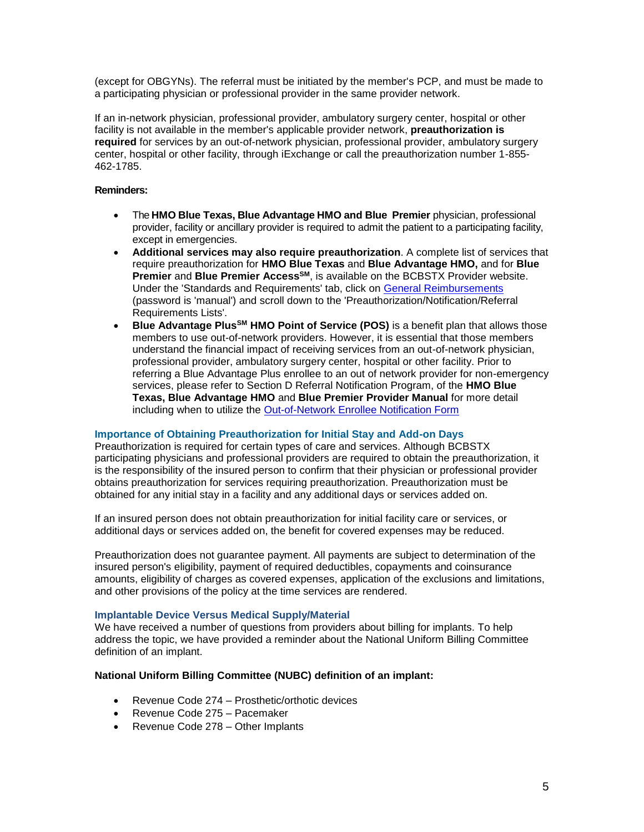(except for OBGYNs). The referral must be initiated by the member's PCP, and must be made to a participating physician or professional provider in the same provider network.

If an in-network physician, professional provider, ambulatory surgery center, hospital or other facility is not available in the member's applicable provider network, **preauthorization is required** for services by an out-of-network physician, professional provider, ambulatory surgery center, hospital or other facility, through iExchange or call the preauthorization number 1-855- 462-1785.

# **Reminders:**

- The **HMO Blue Texas, Blue Advantage HMO and Blue Premier** physician, professional provider, facility or ancillary provider is required to admit the patient to a participating facility, except in emergencies.
- **Additional services may also require preauthorization**. A complete list of services that require preauthorization for **HMO Blue Texas** and **Blue Advantage HMO,** and for **Blue Premier** and **Blue Premier AccessSM**, is available on the BCBSTX Provider website. Under the 'Standards and Requirements' tab, click on [General Reimbursements](http://www.bcbstx.com/provider/gri/gri.html) (password is 'manual') and scroll down to the 'Preauthorization/Notification/Referral Requirements Lists'.
- **Blue Advantage PlusSM HMO Point of Service (POS)** is a benefit plan that allows those members to use out-of-network providers. However, it is essential that those members understand the financial impact of receiving services from an out-of-network physician, professional provider, ambulatory surgery center, hospital or other facility. Prior to referring a Blue Advantage Plus enrollee to an out of network provider for non-emergency services, please refer to Section D Referral Notification Program, of the **HMO Blue Texas, Blue Advantage HMO** and **Blue Premier Provider Manual** for more detail including when to utilize the [Out-of-Network Enrollee Notification Form](http://www.bcbstx.com/provider/pdf/out-of-network-care-enrollee-notification-form.pdf)

### **Importance of Obtaining Preauthorization for Initial Stay and Add-on Days**

Preauthorization is required for certain types of care and services. Although BCBSTX participating physicians and professional providers are required to obtain the preauthorization, it is the responsibility of the insured person to confirm that their physician or professional provider obtains preauthorization for services requiring preauthorization. Preauthorization must be obtained for any initial stay in a facility and any additional days or services added on.

If an insured person does not obtain preauthorization for initial facility care or services, or additional days or services added on, the benefit for covered expenses may be reduced.

Preauthorization does not guarantee payment. All payments are subject to determination of the insured person's eligibility, payment of required deductibles, copayments and coinsurance amounts, eligibility of charges as covered expenses, application of the exclusions and limitations, and other provisions of the policy at the time services are rendered.

### **Implantable Device Versus Medical Supply/Material**

We have received a number of questions from providers about billing for implants. To help address the topic, we have provided a reminder about the National Uniform Billing Committee definition of an implant.

# **National Uniform Billing Committee (NUBC) definition of an implant:**

- Revenue Code 274 Prosthetic/orthotic devices
- Revenue Code 275 Pacemaker
- Revenue Code 278 Other Implants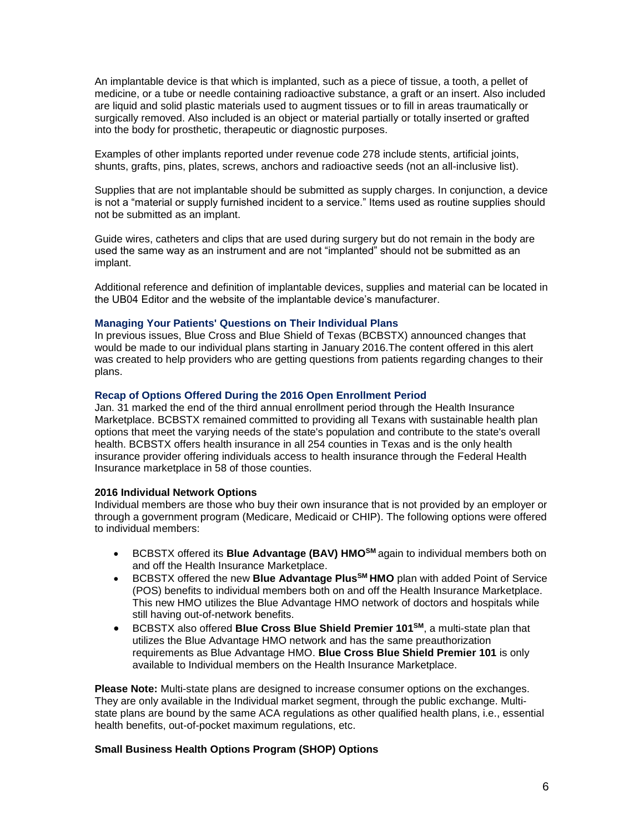An implantable device is that which is implanted, such as a piece of tissue, a tooth, a pellet of medicine, or a tube or needle containing radioactive substance, a graft or an insert. Also included are liquid and solid plastic materials used to augment tissues or to fill in areas traumatically or surgically removed. Also included is an object or material partially or totally inserted or grafted into the body for prosthetic, therapeutic or diagnostic purposes.

Examples of other implants reported under revenue code 278 include stents, artificial joints, shunts, grafts, pins, plates, screws, anchors and radioactive seeds (not an all-inclusive list).

Supplies that are not implantable should be submitted as supply charges. In conjunction, a device is not a "material or supply furnished incident to a service." Items used as routine supplies should not be submitted as an implant.

Guide wires, catheters and clips that are used during surgery but do not remain in the body are used the same way as an instrument and are not "implanted" should not be submitted as an implant.

Additional reference and definition of implantable devices, supplies and material can be located in the UB04 Editor and the website of the implantable device's manufacturer.

#### **Managing Your Patients' Questions on Their Individual Plans**

In previous issues, Blue Cross and Blue Shield of Texas (BCBSTX) announced changes that would be made to our individual plans starting in January 2016.The content offered in this alert was created to help providers who are getting questions from patients regarding changes to their plans.

#### **Recap of Options Offered During the 2016 Open Enrollment Period**

Jan. 31 marked the end of the third annual enrollment period through the Health Insurance Marketplace. BCBSTX remained committed to providing all Texans with sustainable health plan options that meet the varying needs of the state's population and contribute to the state's overall health. BCBSTX offers health insurance in all 254 counties in Texas and is the only health insurance provider offering individuals access to health insurance through the Federal Health Insurance marketplace in 58 of those counties.

#### **2016 Individual Network Options**

Individual members are those who buy their own insurance that is not provided by an employer or through a government program (Medicare, Medicaid or CHIP). The following options were offered to individual members:

- BCBSTX offered its **Blue Advantage (BAV) HMO<sup>SM</sup> again to individual members both on** and off the Health Insurance Marketplace.
- BCBSTX offered the new **Blue Advantage PlusSM HMO** plan with added Point of Service (POS) benefits to individual members both on and off the Health Insurance Marketplace. This new HMO utilizes the Blue Advantage HMO network of doctors and hospitals while still having out-of-network benefits.
- BCBSTX also offered **Blue Cross Blue Shield Premier 101SM**, a multi-state plan that utilizes the Blue Advantage HMO network and has the same preauthorization requirements as Blue Advantage HMO. **[Blue Cross Blue Shield Premier 101](http://www.bcbstx.com/provider/pdf/hmo_bav_referral_list.pdf)** is only [available to Individual members on the Health Insurance Marketplace.](http://www.bcbstx.com/provider/pdf/hmo_bav_referral_list.pdf)

**Please Note:** [Multi-state plans are designed to increase consumer options on the exchanges.](http://www.bcbstx.com/provider/pdf/hmo_bav_referral_list.pdf)  [They are only available in the Individual market segment, through the public exchange. Multi](http://www.bcbstx.com/provider/pdf/hmo_bav_referral_list.pdf)[state plans are bound by the same ACA regulations as other qualified health plans, i.e., essential](http://www.bcbstx.com/provider/pdf/hmo_bav_referral_list.pdf)  [health benefits, out-of-pocket maximum regulations, etc.](http://www.bcbstx.com/provider/pdf/hmo_bav_referral_list.pdf) 

## **Small Business Health Options Program (SHOP) Options**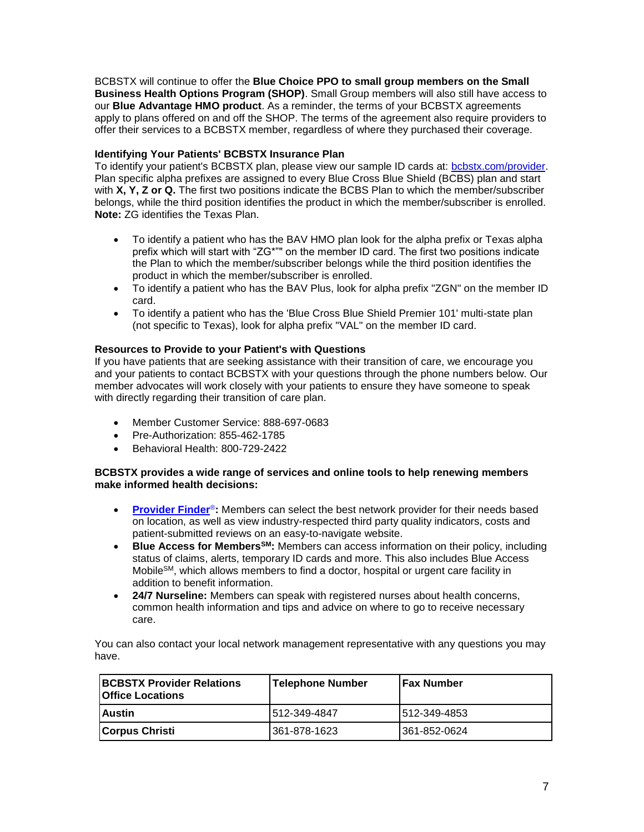BCBSTX will continue to offer the **Blue Choice PPO to small group members on the Small Business Health Options Program (SHOP)**. Small Group members will also still have access to our **Blue Advantage HMO product**. As a reminder, the terms of your BCBSTX agreements apply to plans offered on and off the SHOP. The terms of the agreement also require providers to offer their services to a BCBSTX member, regardless of where they purchased their coverage.

# **Identifying Your Patients' BCBSTX Insurance Plan**

To identify your patient's BCBSTX plan, please view our sample ID cards at: [bcbstx.com/provider.](http://www.bcbstx.com/provider/training/id_card_samples.html) Plan specific alpha prefixes are assigned to every Blue Cross Blue Shield (BCBS) plan and start with **X, Y, Z or Q.** The first two positions indicate the BCBS Plan to which the member/subscriber belongs, while the third position identifies the product in which the member/subscriber is enrolled. **Note:** ZG identifies the Texas Plan.

- To identify a patient who has the BAV HMO plan look for the alpha prefix or Texas alpha prefix which will start with "ZG\*"" on the member ID card. The first two positions indicate the Plan to which the member/subscriber belongs while the third position identifies the product in which the member/subscriber is enrolled.
- To identify a patient who has the BAV Plus, look for alpha prefix "ZGN" on the member ID card.
- To identify a patient who has the 'Blue Cross Blue Shield Premier 101' multi-state plan (not specific to Texas), look for alpha prefix "VAL" on the member ID card.

# **Resources to Provide to your Patient's with Questions**

If you have patients that are seeking assistance with their transition of care, we encourage you and your patients to contact BCBSTX with your questions through the phone numbers below. Our member advocates will work closely with your patients to ensure they have someone to speak with directly regarding their transition of care plan.

- Member Customer Service: 888-697-0683
- Pre-Authorization: 855-462-1785
- Behavioral Health: 800-729-2422

### **BCBSTX provides a wide range of services and online tools to help renewing members make informed health decisions:**

- **[Provider Finder](https://www.bcbstx.com/find-a-doctor-or-hospital)<sup>®</sup>:** Members can select the best network provider for their needs based on location, as well as view industry-respected third party quality indicators, costs and patient-submitted reviews on an easy-to-navigate website.
- **Blue Access for MembersSM:** Members can access information on their policy, including status of claims, alerts, temporary ID cards and more. This also includes Blue Access MobileSM, which allows members to find a doctor, hospital or urgent care facility in addition to benefit information.
- **24/7 Nurseline:** Members can speak with registered nurses about health concerns, common health information and tips and advice on where to go to receive necessary care.

You can also contact your local network management representative with any questions you may have.

| <b>IBCBSTX Provider Relations</b><br><b>Office Locations</b> | <b>Telephone Number</b> | <b>IFax Number</b> |
|--------------------------------------------------------------|-------------------------|--------------------|
| l Austin                                                     | 512-349-4847            | 1512-349-4853      |
| <b>Corpus Christi</b>                                        | 361-878-1623            | 1361-852-0624      |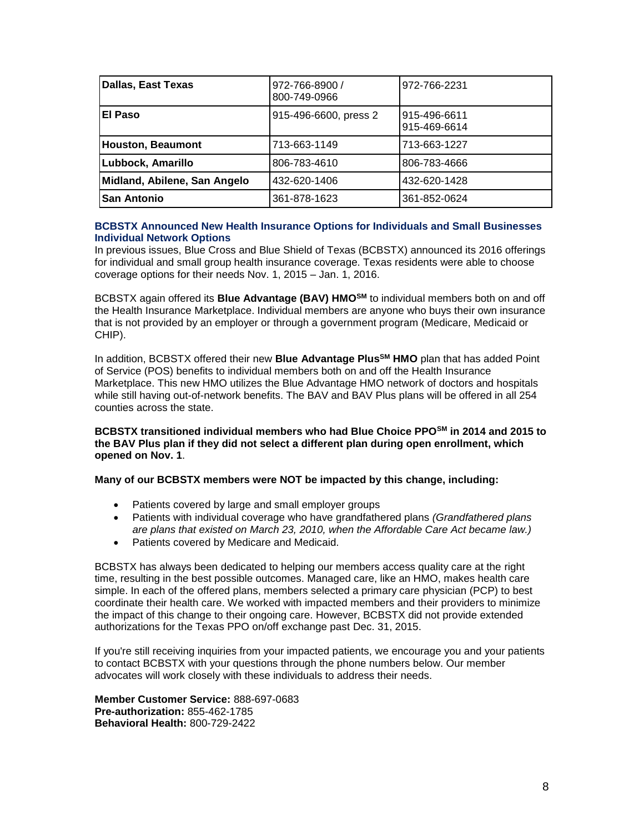| <b>Dallas, East Texas</b>    | 972-766-8900 /<br>800-749-0966 | 972-766-2231                 |
|------------------------------|--------------------------------|------------------------------|
| El Paso                      | 915-496-6600, press 2          | 915-496-6611<br>915-469-6614 |
| <b>Houston, Beaumont</b>     | 713-663-1149                   | 713-663-1227                 |
| Lubbock, Amarillo            | 806-783-4610                   | 806-783-4666                 |
| Midland, Abilene, San Angelo | 432-620-1406                   | 432-620-1428                 |
| <b>San Antonio</b>           | 361-878-1623                   | 361-852-0624                 |

#### **BCBSTX Announced New Health Insurance Options for Individuals and Small Businesses Individual Network Options**

In previous issues, Blue Cross and Blue Shield of Texas (BCBSTX) announced its 2016 offerings for individual and small group health insurance coverage. Texas residents were able to choose coverage options for their needs Nov. 1, 2015 – Jan. 1, 2016.

BCBSTX again offered its **Blue Advantage (BAV) HMOSM** to individual members both on and off the Health Insurance Marketplace. Individual members are anyone who buys their own insurance that is not provided by an employer or through a government program (Medicare, Medicaid or CHIP).

In addition, BCBSTX offered their new **Blue Advantage PlusSM HMO** plan that has added Point of Service (POS) benefits to individual members both on and off the Health Insurance Marketplace. This new HMO utilizes the Blue Advantage HMO network of doctors and hospitals while still having out-of-network benefits. The BAV and BAV Plus plans will be offered in all 254 counties across the state.

**BCBSTX transitioned individual members who had Blue Choice PPOSM in 2014 and 2015 to the BAV Plus plan if they did not select a different plan during open enrollment, which opened on Nov. 1**.

### **Many of our BCBSTX members were NOT be impacted by this change, including:**

- Patients covered by large and small employer groups
- Patients with individual coverage who have grandfathered plans *(Grandfathered plans are plans that existed on March 23, 2010, when the Affordable Care Act became law.)*
- Patients covered by Medicare and Medicaid.

BCBSTX has always been dedicated to helping our members access quality care at the right time, resulting in the best possible outcomes. Managed care, like an HMO, makes health care simple. In each of the offered plans, members selected a primary care physician (PCP) to best coordinate their health care. We worked with impacted members and their providers to minimize the impact of this change to their ongoing care. However, BCBSTX did not provide extended authorizations for the Texas PPO on/off exchange past Dec. 31, 2015.

If you're still receiving inquiries from your impacted patients, we encourage you and your patients to contact BCBSTX with your questions through the phone numbers below. Our member advocates will work closely with these individuals to address their needs.

**Member Customer Service:** 888-697-0683 **Pre-authorization:** 855-462-1785 **Behavioral Health:** 800-729-2422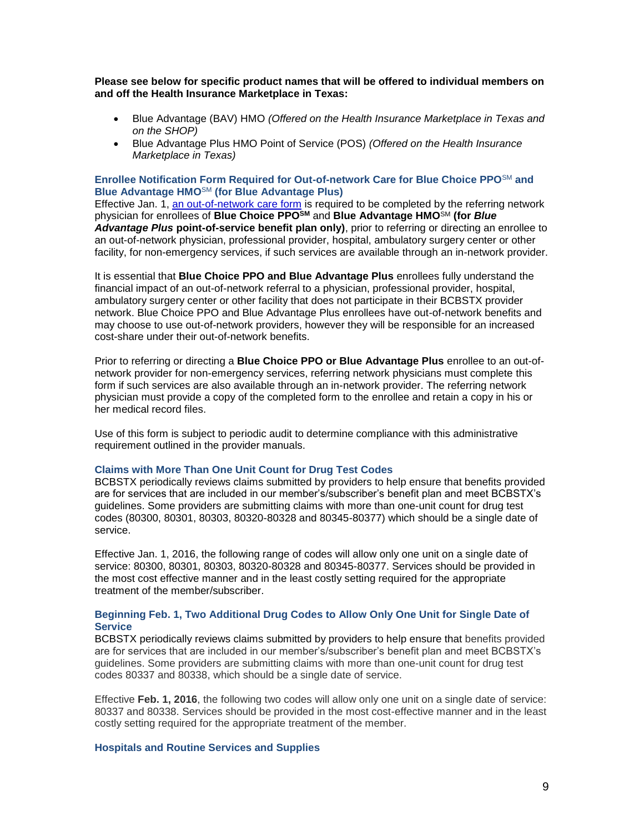#### **Please see below for specific product names that will be offered to individual members on and off the Health Insurance Marketplace in Texas:**

- Blue Advantage (BAV) HMO *(Offered on the Health Insurance Marketplace in Texas and on the SHOP)*
- Blue Advantage Plus HMO Point of Service (POS) *(Offered on the Health Insurance Marketplace in Texas)*

#### **Enrollee Notification Form Required for Out-of-network Care for Blue Choice PPO**SM **and Blue Advantage HMO**SM **(for Blue Advantage Plus)**

Effective Jan. 1, [an out-of-network care form](http://www.bcbstx.com/provider/pdf/out-of-network-care-enrollee-notification-form.pdf) is required to be completed by the referring network physician for enrollees of **Blue Choice PPOSM** and **Blue Advantage HMO**SM **(for** *Blue Advantage Plus* **point-of-service benefit plan only)**, prior to referring or directing an enrollee to an out-of-network physician, professional provider, hospital, ambulatory surgery center or other facility, for non-emergency services, if such services are available through an in-network provider.

It is essential that **Blue Choice PPO and Blue Advantage Plus** enrollees fully understand the financial impact of an out-of-network referral to a physician, professional provider, hospital, ambulatory surgery center or other facility that does not participate in their BCBSTX provider network. Blue Choice PPO and Blue Advantage Plus enrollees have out-of-network benefits and may choose to use out-of-network providers, however they will be responsible for an increased cost-share under their out-of-network benefits.

Prior to referring or directing a **Blue Choice PPO or Blue Advantage Plus** enrollee to an out-ofnetwork provider for non-emergency services, referring network physicians must complete this form if such services are also available through an in-network provider. The referring network physician must provide a copy of the completed form to the enrollee and retain a copy in his or her medical record files.

Use of this form is subject to periodic audit to determine compliance with this administrative requirement outlined in the provider manuals.

# **Claims with More Than One Unit Count for Drug Test Codes**

BCBSTX periodically reviews claims submitted by providers to help ensure that benefits provided are for services that are included in our member's/subscriber's benefit plan and meet BCBSTX's guidelines. Some providers are submitting claims with more than one-unit count for drug test codes (80300, 80301, 80303, 80320-80328 and 80345-80377) which should be a single date of service.

Effective Jan. 1, 2016, the following range of codes will allow only one unit on a single date of service: 80300, 80301, 80303, 80320-80328 and 80345-80377. Services should be provided in the most cost effective manner and in the least costly setting required for the appropriate treatment of the member/subscriber.

#### **Beginning Feb. 1, Two Additional Drug Codes to Allow Only One Unit for Single Date of Service**

BCBSTX periodically reviews claims submitted by providers to help ensure that benefits provided are for services that are included in our member's/subscriber's benefit plan and meet BCBSTX's guidelines. Some providers are submitting claims with more than one-unit count for drug test codes 80337 and 80338, which should be a single date of service.

Effective **Feb. 1, 2016**, the following two codes will allow only one unit on a single date of service: 80337 and 80338. Services should be provided in the most cost-effective manner and in the least costly setting required for the appropriate treatment of the member.

#### **Hospitals and Routine Services and Supplies**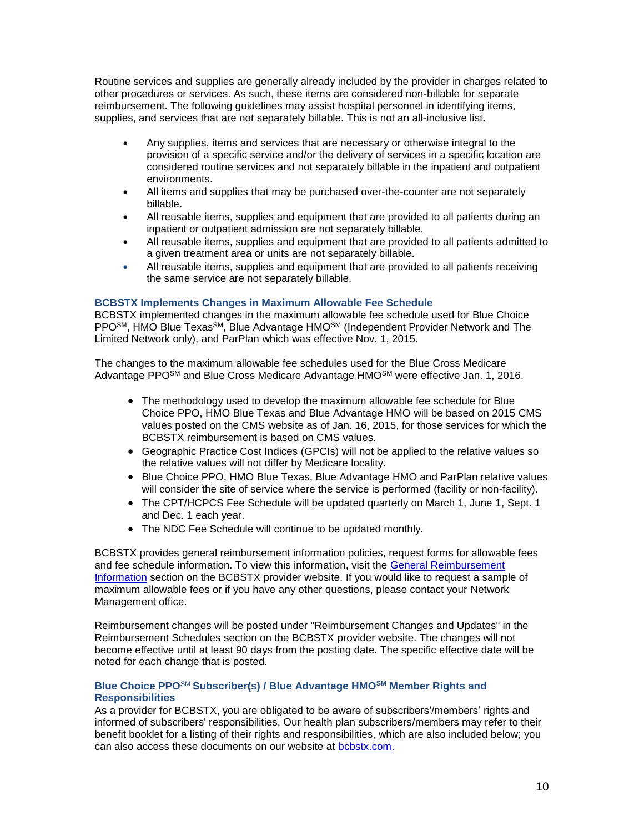Routine services and supplies are generally already included by the provider in charges related to other procedures or services. As such, these items are considered non-billable for separate reimbursement. The following guidelines may assist hospital personnel in identifying items, supplies, and services that are not separately billable. This is not an all-inclusive list.

- Any supplies, items and services that are necessary or otherwise integral to the provision of a specific service and/or the delivery of services in a specific location are considered routine services and not separately billable in the inpatient and outpatient environments.
- All items and supplies that may be purchased over-the-counter are not separately billable.
- All reusable items, supplies and equipment that are provided to all patients during an inpatient or outpatient admission are not separately billable.
- All reusable items, supplies and equipment that are provided to all patients admitted to a given treatment area or units are not separately billable.
- All reusable items, supplies and equipment that are provided to all patients receiving the same service are not separately billable.

### **BCBSTX Implements Changes in Maximum Allowable Fee Schedule**

BCBSTX implemented changes in the maximum allowable fee schedule used for Blue Choice PPOSM, HMO Blue TexasSM, Blue Advantage HMOSM (Independent Provider Network and The Limited Network only), and ParPlan which was effective Nov. 1, 2015.

The changes to the maximum allowable fee schedules used for the Blue Cross Medicare Advantage PPO<sup>SM</sup> and Blue Cross Medicare Advantage HMO<sup>SM</sup> were effective Jan. 1, 2016.

- The methodology used to develop the maximum allowable fee schedule for Blue Choice PPO, HMO Blue Texas and Blue Advantage HMO will be based on 2015 CMS values posted on the CMS website as of Jan. 16, 2015, for those services for which the BCBSTX reimbursement is based on CMS values.
- Geographic Practice Cost Indices (GPCIs) will not be applied to the relative values so the relative values will not differ by Medicare locality.
- Blue Choice PPO, HMO Blue Texas, Blue Advantage HMO and ParPlan relative values will consider the site of service where the service is performed (facility or non-facility).
- The CPT/HCPCS Fee Schedule will be updated quarterly on March 1, June 1, Sept. 1 and Dec. 1 each year.
- The NDC Fee Schedule will continue to be updated monthly.

BCBSTX provides general reimbursement information policies, request forms for allowable fees and fee schedule information. To view this information, visit the [General Reimbursement](http://www.bcbstx.com/provider/gri/index.html)  [Information](http://www.bcbstx.com/provider/gri/index.html) section on the BCBSTX provider website. If you would like to request a sample of maximum allowable fees or if you have any other questions, please contact your Network Management office.

Reimbursement changes will be posted under "Reimbursement Changes and Updates" in the Reimbursement Schedules section on the BCBSTX provider website. The changes will not become effective until at least 90 days from the posting date. The specific effective date will be noted for each change that is posted.

### **Blue Choice PPO**SM **Subscriber(s) / Blue Advantage HMOSM Member Rights and Responsibilities**

As a provider for BCBSTX, you are obligated to be aware of subscribers'/members' rights and informed of subscribers' responsibilities. Our health plan subscribers/members may refer to their benefit booklet for a listing of their rights and responsibilities, which are also included below; you can also access these documents on our website at [bcbstx.com.](http://www.bcbstx.com/)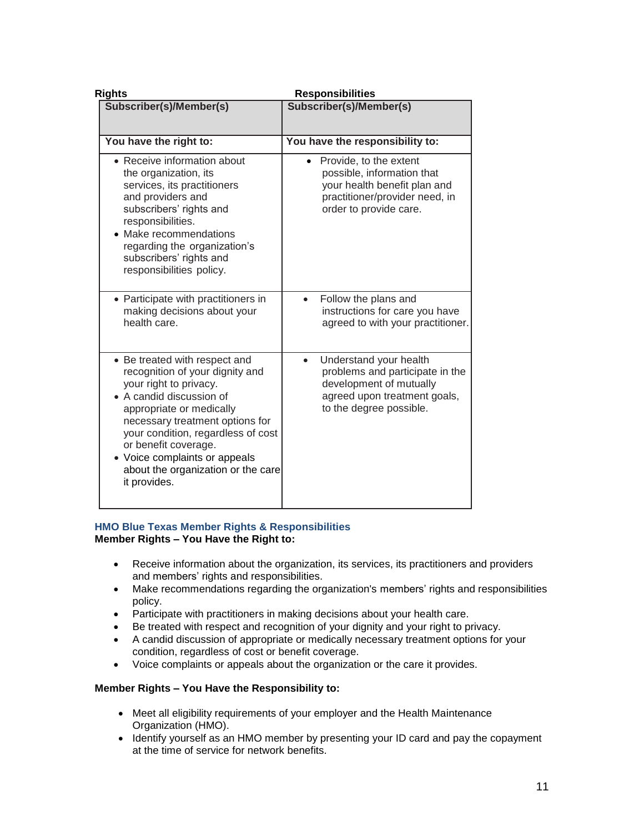| <b>Rights</b>                                                                                                                                                                                                                                                                                                                              | <b>Responsibilities</b>                                                                                                                                       |  |
|--------------------------------------------------------------------------------------------------------------------------------------------------------------------------------------------------------------------------------------------------------------------------------------------------------------------------------------------|---------------------------------------------------------------------------------------------------------------------------------------------------------------|--|
| Subscriber(s)/Member(s)                                                                                                                                                                                                                                                                                                                    | Subscriber(s)/Member(s)                                                                                                                                       |  |
| You have the right to:                                                                                                                                                                                                                                                                                                                     | You have the responsibility to:                                                                                                                               |  |
| • Receive information about<br>the organization, its<br>services, its practitioners<br>and providers and<br>subscribers' rights and<br>responsibilities.<br>• Make recommendations<br>regarding the organization's<br>subscribers' rights and<br>responsibilities policy.                                                                  | Provide, to the extent<br>$\bullet$<br>possible, information that<br>your health benefit plan and<br>practitioner/provider need, in<br>order to provide care. |  |
| • Participate with practitioners in<br>making decisions about your<br>health care.                                                                                                                                                                                                                                                         | Follow the plans and<br>instructions for care you have<br>agreed to with your practitioner.                                                                   |  |
| • Be treated with respect and<br>recognition of your dignity and<br>your right to privacy.<br>• A candid discussion of<br>appropriate or medically<br>necessary treatment options for<br>your condition, regardless of cost<br>or benefit coverage.<br>• Voice complaints or appeals<br>about the organization or the care<br>it provides. | Understand your health<br>$\bullet$<br>problems and participate in the<br>development of mutually<br>agreed upon treatment goals,<br>to the degree possible.  |  |

#### **HMO Blue Texas Member Rights & Responsibilities Member Rights – You Have the Right to:**

- Receive information about the organization, its services, its practitioners and providers and members' rights and responsibilities.
- Make recommendations regarding the organization's members' rights and responsibilities policy.
- Participate with practitioners in making decisions about your health care.
- Be treated with respect and recognition of your dignity and your right to privacy.
- A candid discussion of appropriate or medically necessary treatment options for your condition, regardless of cost or benefit coverage.
- Voice complaints or appeals about the organization or the care it provides.

# **Member Rights – You Have the Responsibility to:**

- Meet all eligibility requirements of your employer and the Health Maintenance Organization (HMO).
- Identify yourself as an HMO member by presenting your ID card and pay the copayment at the time of service for network benefits.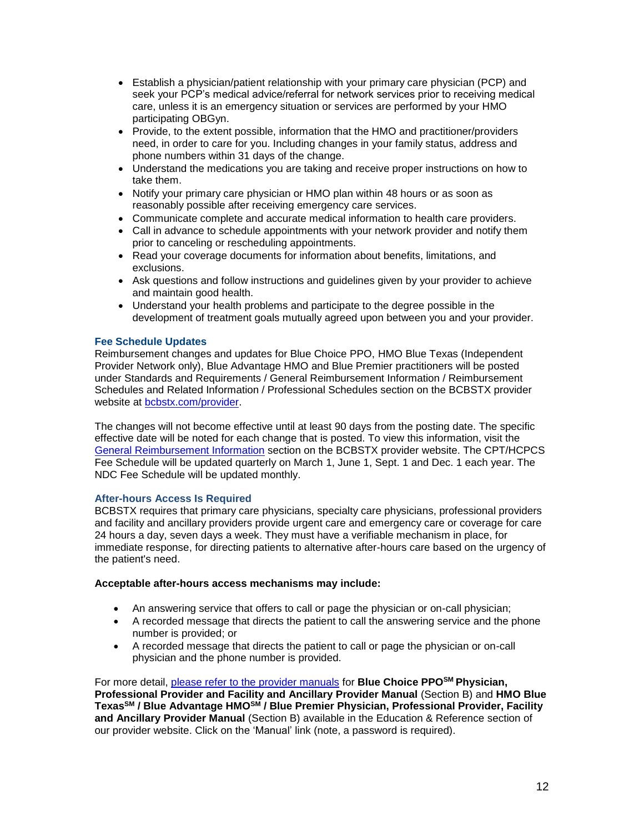- Establish a physician/patient relationship with your primary care physician (PCP) and seek your PCP's medical advice/referral for network services prior to receiving medical care, unless it is an emergency situation or services are performed by your HMO participating OBGyn.
- Provide, to the extent possible, information that the HMO and practitioner/providers need, in order to care for you. Including changes in your family status, address and phone numbers within 31 days of the change.
- Understand the medications you are taking and receive proper instructions on how to take them.
- Notify your primary care physician or HMO plan within 48 hours or as soon as reasonably possible after receiving emergency care services.
- Communicate complete and accurate medical information to health care providers.
- Call in advance to schedule appointments with your network provider and notify them prior to canceling or rescheduling appointments.
- Read your coverage documents for information about benefits, limitations, and exclusions.
- Ask questions and follow instructions and guidelines given by your provider to achieve and maintain good health.
- Understand your health problems and participate to the degree possible in the development of treatment goals mutually agreed upon between you and your provider.

# **Fee Schedule Updates**

Reimbursement changes and updates for Blue Choice PPO, HMO Blue Texas (Independent Provider Network only), Blue Advantage HMO and Blue Premier practitioners will be posted under Standards and Requirements / General Reimbursement Information / Reimbursement Schedules and Related Information / Professional Schedules section on the BCBSTX provider website at [bcbstx.com/provider.](http://www.bcbstx.com/provider/) 

The changes will not become effective until at least 90 days from the posting date. The specific effective date will be noted for each change that is posted. To view this information, visit the [General Reimbursement Information](http://www.bcbstx.com/provider/gri/index.html) section on the BCBSTX provider website. The CPT/HCPCS Fee Schedule will be updated quarterly on March 1, June 1, Sept. 1 and Dec. 1 each year. The NDC Fee Schedule will be updated monthly.

### **After-hours Access Is Required**

BCBSTX requires that primary care physicians, specialty care physicians, professional providers and facility and ancillary providers provide urgent care and emergency care or coverage for care 24 hours a day, seven days a week. They must have a verifiable mechanism in place, for immediate response, for directing patients to alternative after-hours care based on the urgency of the patient's need.

### **Acceptable after-hours access mechanisms may include:**

- An answering service that offers to call or page the physician or on-call physician;
- A recorded message that directs the patient to call the answering service and the phone number is provided; or
- A recorded message that directs the patient to call or page the physician or on-call physician and the phone number is provided.

For more detail, [please refer to the provider manuals](http://www.bcbstx.com/provider/gri/index.html) for **Blue Choice PPOSM Physician, Professional Provider and Facility and Ancillary Provider Manual** (Section B) and **HMO Blue TexasSM / Blue Advantage HMOSM / Blue Premier Physician, Professional Provider, Facility and Ancillary Provider Manual** (Section B) available in the Education & Reference section of our provider website. Click on the 'Manual' link (note, a password is required).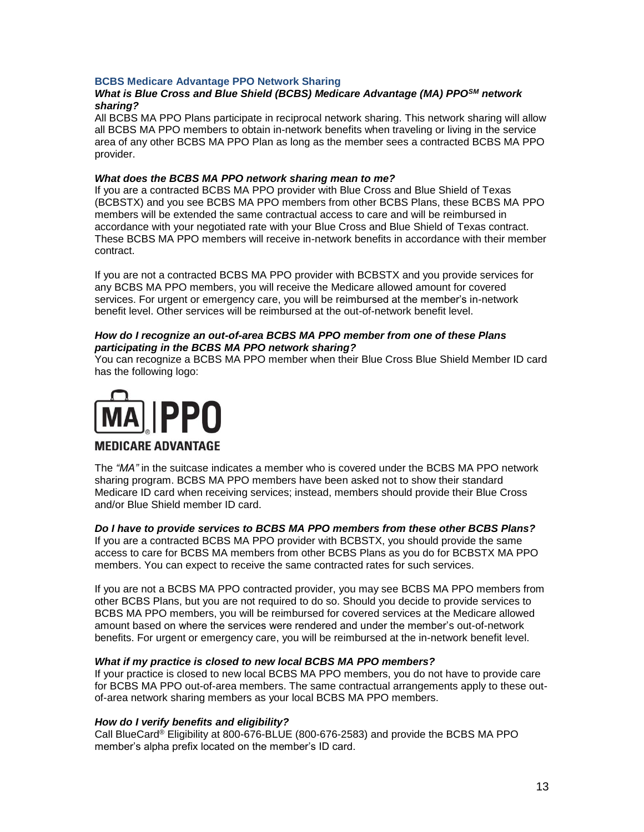# **BCBS Medicare Advantage PPO Network Sharing**

### *What is Blue Cross and Blue Shield (BCBS) Medicare Advantage (MA) PPOSM network sharing?*

All BCBS MA PPO Plans participate in reciprocal network sharing. This network sharing will allow all BCBS MA PPO members to obtain in-network benefits when traveling or living in the service area of any other BCBS MA PPO Plan as long as the member sees a contracted BCBS MA PPO provider.

#### *What does the BCBS MA PPO network sharing mean to me?*

If you are a contracted BCBS MA PPO provider with Blue Cross and Blue Shield of Texas (BCBSTX) and you see BCBS MA PPO members from other BCBS Plans, these BCBS MA PPO members will be extended the same contractual access to care and will be reimbursed in accordance with your negotiated rate with your Blue Cross and Blue Shield of Texas contract. These BCBS MA PPO members will receive in-network benefits in accordance with their member contract.

If you are not a contracted BCBS MA PPO provider with BCBSTX and you provide services for any BCBS MA PPO members, you will receive the Medicare allowed amount for covered services. For urgent or emergency care, you will be reimbursed at the member's in-network benefit level. Other services will be reimbursed at the out-of-network benefit level.

### *How do I recognize an out-of-area BCBS MA PPO member from one of these Plans participating in the BCBS MA PPO network sharing?*

You can recognize a BCBS MA PPO member when their Blue Cross Blue Shield Member ID card has the following logo:



# **MEDICARE ADVANTAGE**

The *"MA"* in the suitcase indicates a member who is covered under the BCBS MA PPO network sharing program. BCBS MA PPO members have been asked not to show their standard Medicare ID card when receiving services; instead, members should provide their Blue Cross and/or Blue Shield member ID card.

### *Do I have to provide services to BCBS MA PPO members from these other BCBS Plans?*

If you are a contracted BCBS MA PPO provider with BCBSTX, you should provide the same access to care for BCBS MA members from other BCBS Plans as you do for BCBSTX MA PPO members. You can expect to receive the same contracted rates for such services.

If you are not a BCBS MA PPO contracted provider, you may see BCBS MA PPO members from other BCBS Plans, but you are not required to do so. Should you decide to provide services to BCBS MA PPO members, you will be reimbursed for covered services at the Medicare allowed amount based on where the services were rendered and under the member's out-of-network benefits. For urgent or emergency care, you will be reimbursed at the in-network benefit level.

### *What if my practice is closed to new local BCBS MA PPO members?*

If your practice is closed to new local BCBS MA PPO members, you do not have to provide care for BCBS MA PPO out-of-area members. The same contractual arrangements apply to these outof-area network sharing members as your local BCBS MA PPO members.

### *How do I verify benefits and eligibility?*

Call BlueCard® Eligibility at 800-676-BLUE (800-676-2583) and provide the BCBS MA PPO member's alpha prefix located on the member's ID card.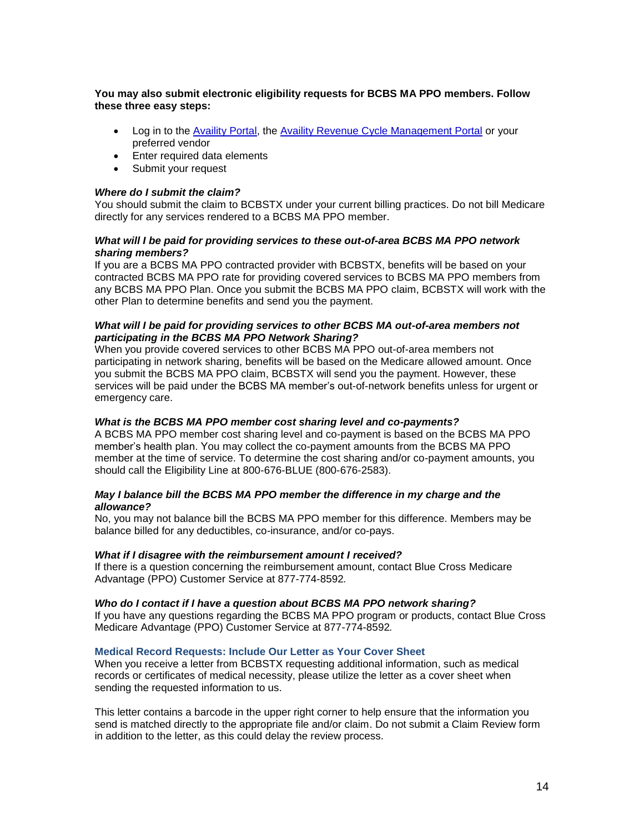# **You may also submit electronic eligibility requests for BCBS MA PPO members. Follow these three easy steps:**

- Log in to the [Availity Portal,](http://www.availity.com/) the [Availity Revenue Cycle Management Portal](https://claims.realmed.com/) or your preferred vendor
- Enter required data elements
- Submit your request

## *Where do I submit the claim?*

You should submit the claim to BCBSTX under your current billing practices. Do not bill Medicare directly for any services rendered to a BCBS MA PPO member.

## *What will I be paid for providing services to these out-of-area BCBS MA PPO network sharing members?*

If you are a BCBS MA PPO contracted provider with BCBSTX, benefits will be based on your contracted BCBS MA PPO rate for providing covered services to BCBS MA PPO members from any BCBS MA PPO Plan. Once you submit the BCBS MA PPO claim, BCBSTX will work with the other Plan to determine benefits and send you the payment.

### *What will I be paid for providing services to other BCBS MA out-of-area members not participating in the BCBS MA PPO Network Sharing?*

When you provide covered services to other BCBS MA PPO out-of-area members not participating in network sharing, benefits will be based on the Medicare allowed amount. Once you submit the BCBS MA PPO claim, BCBSTX will send you the payment. However, these services will be paid under the BCBS MA member's out-of-network benefits unless for urgent or emergency care.

## *What is the BCBS MA PPO member cost sharing level and co-payments?*

A BCBS MA PPO member cost sharing level and co-payment is based on the BCBS MA PPO member's health plan. You may collect the co-payment amounts from the BCBS MA PPO member at the time of service. To determine the cost sharing and/or co-payment amounts, you should call the Eligibility Line at 800-676-BLUE (800-676-2583).

### *May I balance bill the BCBS MA PPO member the difference in my charge and the allowance?*

No, you may not balance bill the BCBS MA PPO member for this difference. Members may be balance billed for any deductibles, co-insurance, and/or co-pays.

### *What if I disagree with the reimbursement amount I received?*

If there is a question concerning the reimbursement amount, contact Blue Cross Medicare Advantage (PPO) Customer Service at 877-774-8592*.*

### *Who do I contact if I have a question about BCBS MA PPO network sharing?*

If you have any questions regarding the BCBS MA PPO program or products, contact Blue Cross Medicare Advantage (PPO) Customer Service at 877-774-8592*.*

### **Medical Record Requests: Include Our Letter as Your Cover Sheet**

When you receive a letter from BCBSTX requesting additional information, such as medical records or certificates of medical necessity, please utilize the letter as a cover sheet when sending the requested information to us.

This letter contains a barcode in the upper right corner to help ensure that the information you send is matched directly to the appropriate file and/or claim. Do not submit a Claim Review form in addition to the letter, as this could delay the review process.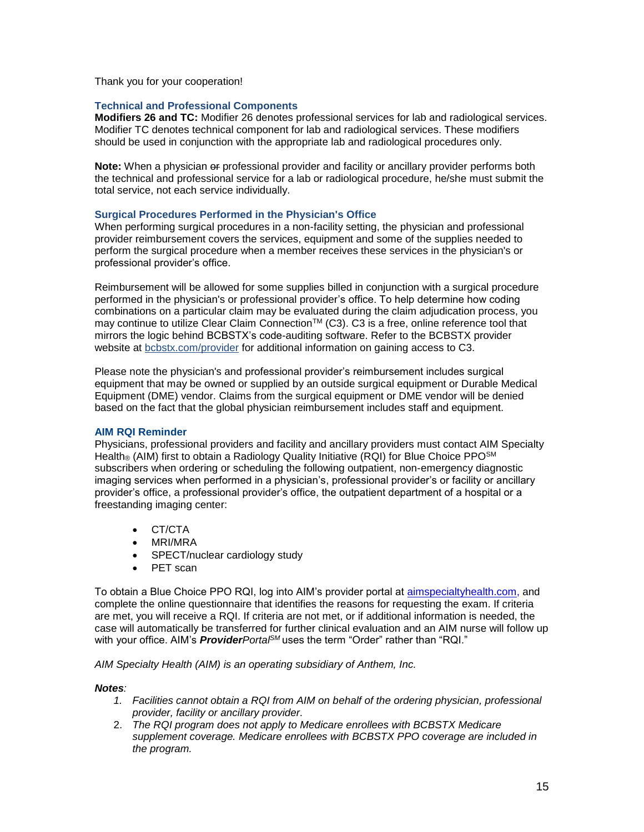Thank you for your cooperation!

## **Technical and Professional Components**

**Modifiers 26 and TC:** Modifier 26 denotes professional services for lab and radiological services. Modifier TC denotes technical component for lab and radiological services. These modifiers should be used in conjunction with the appropriate lab and radiological procedures only.

**Note:** When a physician or professional provider and facility or ancillary provider performs both the technical and professional service for a lab or radiological procedure, he/she must submit the total service, not each service individually.

# **Surgical Procedures Performed in the Physician's Office**

When performing surgical procedures in a non-facility setting, the physician and professional provider reimbursement covers the services, equipment and some of the supplies needed to perform the surgical procedure when a member receives these services in the physician's or professional provider's office.

Reimbursement will be allowed for some supplies billed in conjunction with a surgical procedure performed in the physician's or professional provider's office. To help determine how coding combinations on a particular claim may be evaluated during the claim adjudication process, you may continue to utilize Clear Claim Connection™ (C3). C3 is a free, online reference tool that mirrors the logic behind BCBSTX's code-auditing software. Refer to the BCBSTX provider website at [bcbstx.com/provider](http://www.bcbstx.com/provider/tools/clear_claim_connection.html) for additional information on gaining access to C3.

Please note the physician's and professional provider's reimbursement includes surgical equipment that may be owned or supplied by an outside surgical equipment or Durable Medical Equipment (DME) vendor. Claims from the surgical equipment or DME vendor will be denied based on the fact that the global physician reimbursement includes staff and equipment.

### **AIM RQI Reminder**

Physicians, professional providers and facility and ancillary providers must contact AIM Specialty Health® (AIM) first to obtain a Radiology Quality Initiative (RQI) for Blue Choice PPO<sup>SM</sup> subscribers when ordering or scheduling the following outpatient, non-emergency diagnostic imaging services when performed in a physician's, professional provider's or facility or ancillary provider's office, a professional provider's office, the outpatient department of a hospital or a freestanding imaging center:

- CT/CTA
- MRI/MRA
- SPECT/nuclear cardiology study
- PET scan

To obtain a Blue Choice PPO RQI, log into AIM's provider portal at [aimspecialtyhealth.com,](http://www.aimspecialtyhealth.com/) and complete the online questionnaire that identifies the reasons for requesting the exam. If criteria are met, you will receive a RQI. If criteria are not met, or if additional information is needed, the case will automatically be transferred for further clinical evaluation and an AIM nurse will follow up with your office. AIM's *ProviderPortalSM* uses the term "Order" rather than "RQI."

*AIM Specialty Health (AIM) is an operating subsidiary of Anthem, Inc.*

### *Notes:*

- *1. Facilities cannot obtain a RQI from AIM on behalf of the ordering physician, professional provider, facility or ancillary provider.*
- 2. *The RQI program does not apply to Medicare enrollees with BCBSTX Medicare supplement coverage. Medicare enrollees with BCBSTX PPO coverage are included in the program.*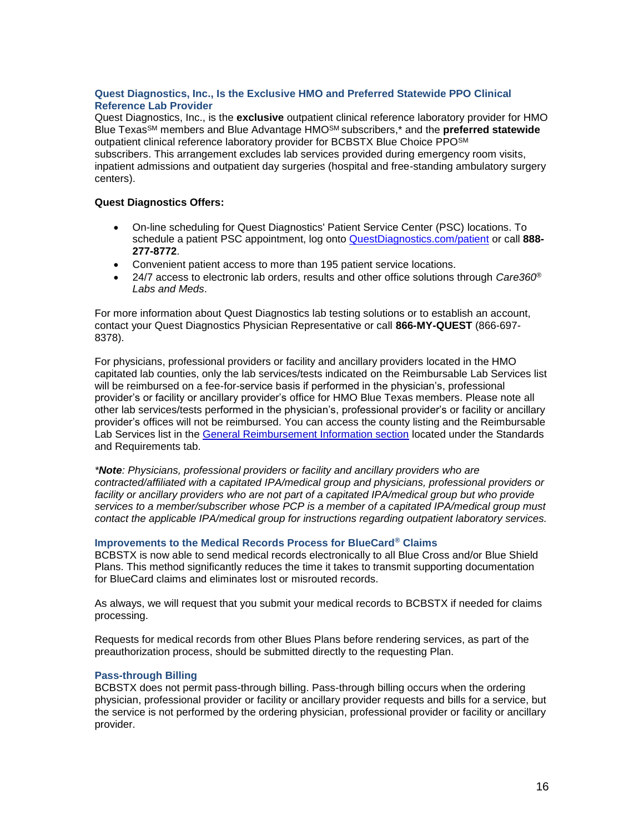# **Quest Diagnostics, Inc., Is the Exclusive HMO and Preferred Statewide PPO Clinical Reference Lab Provider**

Quest Diagnostics, Inc., is the **exclusive** outpatient clinical reference laboratory provider for HMO Blue TexasSM members and Blue Advantage HMOSM subscribers,\* and the **preferred statewide** outpatient clinical reference laboratory provider for BCBSTX Blue Choice PPOSM subscribers. This arrangement excludes lab services provided during emergency room visits, inpatient admissions and outpatient day surgeries (hospital and free-standing ambulatory surgery centers).

## **Quest Diagnostics Offers:**

- On-line scheduling for Quest Diagnostics' Patient Service Center (PSC) locations. To schedule a patient PSC appointment, log onto [QuestDiagnostics.com/patient](http://www.questdiagnostics.com/home/patients) or call **888- 277-8772**.
- Convenient patient access to more than 195 patient service locations.
- 24/7 access to electronic lab orders, results and other office solutions through *Care360® Labs and Meds*.

For more information about Quest Diagnostics lab testing solutions or to establish an account, contact your Quest Diagnostics Physician Representative or call **866-MY-QUEST** (866-697- 8378).

For physicians, professional providers or facility and ancillary providers located in the HMO capitated lab counties, only the lab services/tests indicated on the Reimbursable Lab Services list will be reimbursed on a fee-for-service basis if performed in the physician's, professional provider's or facility or ancillary provider's office for HMO Blue Texas members. Please note all other lab services/tests performed in the physician's, professional provider's or facility or ancillary provider's offices will not be reimbursed. You can access the county listing and the Reimbursable Lab Services list in the [General Reimbursement Information section](http://www.bcbstx.com/provider/gri/index.html) located under the Standards and Requirements tab.

*\*Note: Physicians, professional providers or facility and ancillary providers who are contracted/affiliated with a capitated IPA/medical group and physicians, professional providers or facility or ancillary providers who are not part of a capitated IPA/medical group but who provide services to a member/subscriber whose PCP is a member of a capitated IPA/medical group must contact the applicable IPA/medical group for instructions regarding outpatient laboratory services.*

### **Improvements to the Medical Records Process for BlueCard® Claims**

BCBSTX is now able to send medical records electronically to all Blue Cross and/or Blue Shield Plans. This method significantly reduces the time it takes to transmit supporting documentation for BlueCard claims and eliminates lost or misrouted records.

As always, we will request that you submit your medical records to BCBSTX if needed for claims processing.

Requests for medical records from other Blues Plans before rendering services, as part of the preauthorization process, should be submitted directly to the requesting Plan.

### **Pass-through Billing**

BCBSTX does not permit pass-through billing. Pass-through billing occurs when the ordering physician, professional provider or facility or ancillary provider requests and bills for a service, but the service is not performed by the ordering physician, professional provider or facility or ancillary provider.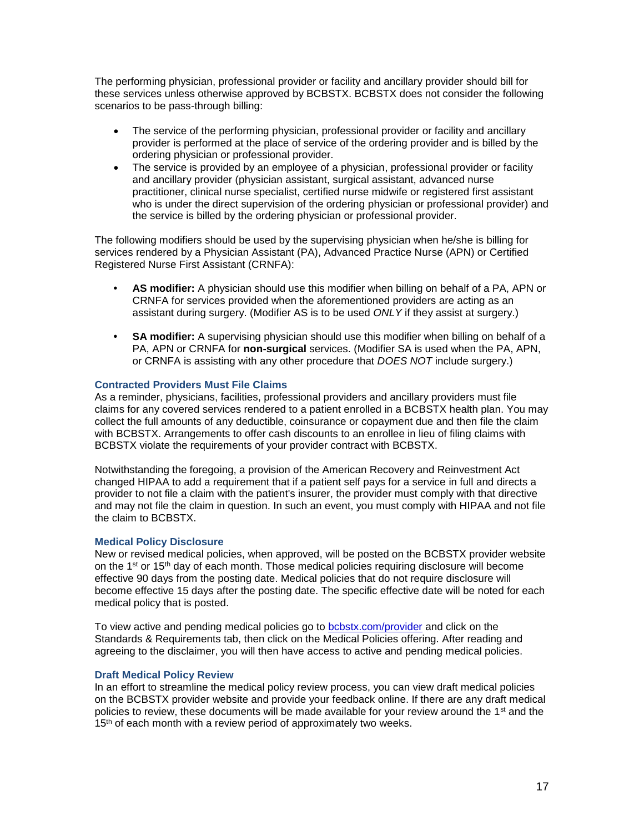The performing physician, professional provider or facility and ancillary provider should bill for these services unless otherwise approved by BCBSTX. BCBSTX does not consider the following scenarios to be pass-through billing:

- The service of the performing physician, professional provider or facility and ancillary provider is performed at the place of service of the ordering provider and is billed by the ordering physician or professional provider.
- The service is provided by an employee of a physician, professional provider or facility and ancillary provider (physician assistant, surgical assistant, advanced nurse practitioner, clinical nurse specialist, certified nurse midwife or registered first assistant who is under the direct supervision of the ordering physician or professional provider) and the service is billed by the ordering physician or professional provider.

The following modifiers should be used by the supervising physician when he/she is billing for services rendered by a Physician Assistant (PA), Advanced Practice Nurse (APN) or Certified Registered Nurse First Assistant (CRNFA):

- **• AS modifier:** A physician should use this modifier when billing on behalf of a PA, APN or CRNFA for services provided when the aforementioned providers are acting as an assistant during surgery. (Modifier AS is to be used *ONLY* if they assist at surgery.)
- **• SA modifier:** A supervising physician should use this modifier when billing on behalf of a PA, APN or CRNFA for **non-surgical** services. (Modifier SA is used when the PA, APN, or CRNFA is assisting with any other procedure that *DOES NOT* include surgery.)

### **Contracted Providers Must File Claims**

As a reminder, physicians, facilities, professional providers and ancillary providers must file claims for any covered services rendered to a patient enrolled in a BCBSTX health plan. You may collect the full amounts of any deductible, coinsurance or copayment due and then file the claim with BCBSTX. Arrangements to offer cash discounts to an enrollee in lieu of filing claims with BCBSTX violate the requirements of your provider contract with BCBSTX.

Notwithstanding the foregoing, a provision of the American Recovery and Reinvestment Act changed HIPAA to add a requirement that if a patient self pays for a service in full and directs a provider to not file a claim with the patient's insurer, the provider must comply with that directive and may not file the claim in question. In such an event, you must comply with HIPAA and not file the claim to BCBSTX.

### **Medical Policy Disclosure**

New or revised medical policies, when approved, will be posted on the BCBSTX provider website on the  $1^{st}$  or  $15^{th}$  day of each month. Those medical policies requiring disclosure will become effective 90 days from the posting date. Medical policies that do not require disclosure will become effective 15 days after the posting date. The specific effective date will be noted for each medical policy that is posted.

To view active and pending medical policies go to [bcbstx.com/provider](http://www.bcbstx.com/provider) and click on the Standards & Requirements tab, then click on the Medical Policies offering. After reading and agreeing to the disclaimer, you will then have access to active and pending medical policies.

### **Draft Medical Policy Review**

In an effort to streamline the medical policy review process, you can view draft medical policies on the BCBSTX provider website and provide your feedback online. If there are any draft medical policies to review, these documents will be made available for your review around the 1<sup>st</sup> and the 15<sup>th</sup> of each month with a review period of approximately two weeks.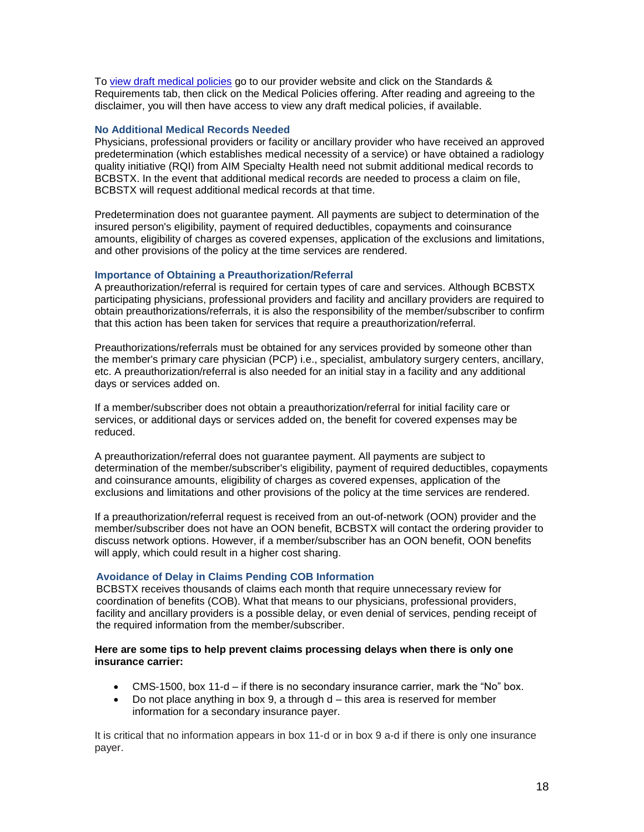To [view draft medical policies](http://www.medicalpolicy.hcsc.net/medicalpolicy/disclaimer?corpEntCd=TX1) go to our provider website and click on the Standards & Requirements tab, then click on the Medical Policies offering. After reading and agreeing to the disclaimer, you will then have access to view any draft medical policies, if available.

## **No Additional Medical Records Needed**

Physicians, professional providers or facility or ancillary provider who have received an approved predetermination (which establishes medical necessity of a service) or have obtained a radiology quality initiative (RQI) from AIM Specialty Health need not submit additional medical records to BCBSTX. In the event that additional medical records are needed to process a claim on file, BCBSTX will request additional medical records at that time.

Predetermination does not guarantee payment. All payments are subject to determination of the insured person's eligibility, payment of required deductibles, copayments and coinsurance amounts, eligibility of charges as covered expenses, application of the exclusions and limitations, and other provisions of the policy at the time services are rendered.

### **Importance of Obtaining a Preauthorization/Referral**

A preauthorization/referral is required for certain types of care and services. Although BCBSTX participating physicians, professional providers and facility and ancillary providers are required to obtain preauthorizations/referrals, it is also the responsibility of the member/subscriber to confirm that this action has been taken for services that require a preauthorization/referral.

Preauthorizations/referrals must be obtained for any services provided by someone other than the member's primary care physician (PCP) i.e., specialist, ambulatory surgery centers, ancillary, etc. A preauthorization/referral is also needed for an initial stay in a facility and any additional days or services added on.

If a member/subscriber does not obtain a preauthorization/referral for initial facility care or services, or additional days or services added on, the benefit for covered expenses may be reduced.

A preauthorization/referral does not guarantee payment. All payments are subject to determination of the member/subscriber's eligibility, payment of required deductibles, copayments and coinsurance amounts, eligibility of charges as covered expenses, application of the exclusions and limitations and other provisions of the policy at the time services are rendered.

If a preauthorization/referral request is received from an out-of-network (OON) provider and the member/subscriber does not have an OON benefit, BCBSTX will contact the ordering provider to discuss network options. However, if a member/subscriber has an OON benefit, OON benefits will apply, which could result in a higher cost sharing.

# **Avoidance of Delay in Claims Pending COB Information**

BCBSTX receives thousands of claims each month that require unnecessary review for coordination of benefits (COB). What that means to our physicians, professional providers, facility and ancillary providers is a possible delay, or even denial of services, pending receipt of the required information from the member/subscriber.

### **Here are some tips to help prevent claims processing delays when there is only one insurance carrier:**

- CMS-1500, box 11-d if there is no secondary insurance carrier, mark the "No" box.
- $\bullet$  Do not place anything in box 9, a through  $d$  this area is reserved for member information for a secondary insurance payer.

It is critical that no information appears in box 11-d or in box 9 a-d if there is only one insurance payer.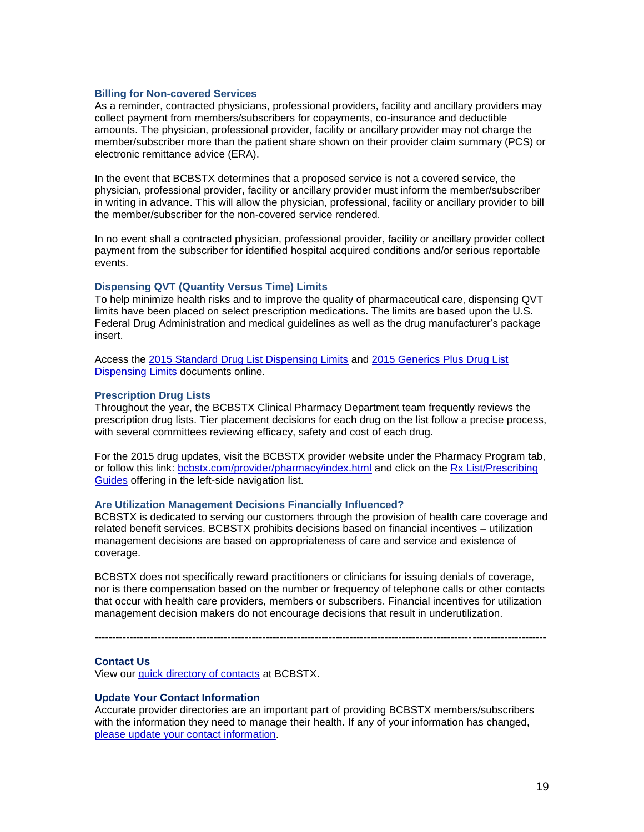#### **Billing for Non-covered Services**

As a reminder, contracted physicians, professional providers, facility and ancillary providers may collect payment from members/subscribers for copayments, co-insurance and deductible amounts. The physician, professional provider, facility or ancillary provider may not charge the member/subscriber more than the patient share shown on their provider claim summary (PCS) or electronic remittance advice (ERA).

In the event that BCBSTX determines that a proposed service is not a covered service, the physician, professional provider, facility or ancillary provider must inform the member/subscriber in writing in advance. This will allow the physician, professional, facility or ancillary provider to bill the member/subscriber for the non-covered service rendered.

In no event shall a contracted physician, professional provider, facility or ancillary provider collect payment from the subscriber for identified hospital acquired conditions and/or serious reportable events.

#### **Dispensing QVT (Quantity Versus Time) Limits**

To help minimize health risks and to improve the quality of pharmaceutical care, dispensing QVT limits have been placed on select prescription medications. The limits are based upon the U.S. Federal Drug Administration and medical guidelines as well as the drug manufacturer's package insert.

Access the [2015 Standard Drug List Dispensing Limits](http://www.bcbstx.com/pdf/rx/rx_dispensing_limits_std_tx.pdf) and [2015 Generics Plus Drug List](http://www.bcbstx.com/pdf/rx/rx_dispensing_limits_gen_tx.pdf)  [Dispensing Limits](http://www.bcbstx.com/pdf/rx/rx_dispensing_limits_gen_tx.pdf) documents online.

#### **Prescription Drug Lists**

Throughout the year, the BCBSTX Clinical Pharmacy Department team frequently reviews the prescription drug lists. Tier placement decisions for each drug on the list follow a precise process, with several committees reviewing efficacy, safety and cost of each drug.

For the 2015 drug updates, visit the BCBSTX provider website under the Pharmacy Program tab, or follow this link: [bcbstx.com/provider/pharmacy/index.html](http://www.bcbstx.com/provider/pharmacy/index.html) and click on the [Rx List/Prescribing](http://www.bcbstx.com/provider/pharmacy/rx_list.html)  [Guides](http://www.bcbstx.com/provider/pharmacy/rx_list.html) offering in the left-side navigation list.

#### **Are Utilization Management Decisions Financially Influenced?**

BCBSTX is dedicated to serving our customers through the provision of health care coverage and related benefit services. BCBSTX prohibits decisions based on financial incentives – utilization management decisions are based on appropriateness of care and service and existence of coverage.

BCBSTX does not specifically reward practitioners or clinicians for issuing denials of coverage, nor is there compensation based on the number or frequency of telephone calls or other contacts that occur with health care providers, members or subscribers. Financial incentives for utilization management decision makers do not encourage decisions that result in underutilization.

**---------------------------------------------------------------------------------------------------------------------------------**

**Contact Us**

View our [quick directory of contacts](http://www.bcbstx.com/provider/contact_us.html) at BCBSTX.

#### **Update Your Contact Information**

Accurate provider directories are an important part of providing BCBSTX members/subscribers with the information they need to manage their health. If any of your information has changed, [please update your contact information](https://www.bcbstx.com/forms/provider/update_info.html).